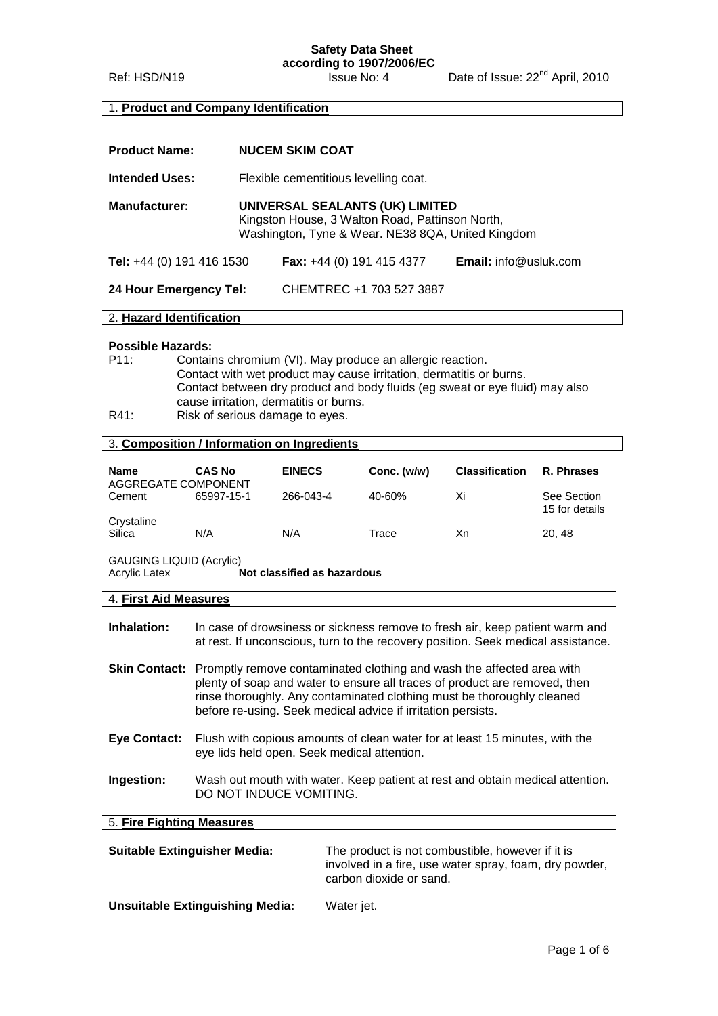#### **Safety Data Sheet according to 1907/2006/EC**

Ref: HSD/N19 Issue No: 4 Date of Issue: 22<sup>nd</sup> April, 2010

#### 1. **Product and Company Identification**

| <b>Product Name:</b>      | <b>NUCEM SKIM COAT</b>                                                                                                                  |                           |                                 |
|---------------------------|-----------------------------------------------------------------------------------------------------------------------------------------|---------------------------|---------------------------------|
| <b>Intended Uses:</b>     | Flexible cementitious levelling coat.                                                                                                   |                           |                                 |
| <b>Manufacturer:</b>      | UNIVERSAL SEALANTS (UK) LIMITED<br>Kingston House, 3 Walton Road, Pattinson North,<br>Washington, Tyne & Wear. NE38 8QA, United Kingdom |                           |                                 |
| Tel: +44 (0) 191 416 1530 |                                                                                                                                         | Fax: +44 (0) 191 415 4377 | <b>Email:</b> $info@$ usluk.com |
| 24 Hour Emergency Tel:    |                                                                                                                                         | CHEMTREC +1 703 527 3887  |                                 |
| 2. Hazard Identification  |                                                                                                                                         |                           |                                 |
|                           |                                                                                                                                         |                           |                                 |

#### **Possible Hazards:**

- P11: Contains chromium (VI). May produce an allergic reaction. Contact with wet product may cause irritation, dermatitis or burns. Contact between dry product and body fluids (eg sweat or eye fluid) may also cause irritation, dermatitis or burns.
- R41: Risk of serious damage to eyes.

# 3. **Composition / Information on Ingredients**

| <b>Name</b><br>AGGREGATE COMPONENT | <b>CAS No</b> | <b>EINECS</b> | Conc. (w/w) | <b>Classification</b> | R. Phrases                    |
|------------------------------------|---------------|---------------|-------------|-----------------------|-------------------------------|
| Cement                             | 65997-15-1    | 266-043-4     | 40-60%      | Xi                    | See Section<br>15 for details |
| Crystaline<br>Silica               | N/A           | N/A           | Trace       | Хn                    | 20, 48                        |

GAUGING LIQUID (Acrylic)<br>Acrylic Latex

**Not classified as hazardous** 

#### 4. **First Aid Measures**

| <b>Inhalation:</b> | In case of drowsiness or sickness remove to fresh air, keep patient warm and     |
|--------------------|----------------------------------------------------------------------------------|
|                    | at rest. If unconscious, turn to the recovery position. Seek medical assistance. |

- **Skin Contact:** Promptly remove contaminated clothing and wash the affected area with plenty of soap and water to ensure all traces of product are removed, then rinse thoroughly. Any contaminated clothing must be thoroughly cleaned before re-using. Seek medical advice if irritation persists.
- **Eye Contact:** Flush with copious amounts of clean water for at least 15 minutes, with the eye lids held open. Seek medical attention.
- **Ingestion:** Wash out mouth with water. Keep patient at rest and obtain medical attention. DO NOT INDUCE VOMITING.

5. **Fire Fighting Measures**

| <b>Suitable Extinguisher Media:</b> | The product is not combustible, however if it is<br>involved in a fire, use water spray, foam, dry powder,<br>carbon dioxide or sand. |
|-------------------------------------|---------------------------------------------------------------------------------------------------------------------------------------|
| Unsuitable Extinguishing Media:     | Water jet.                                                                                                                            |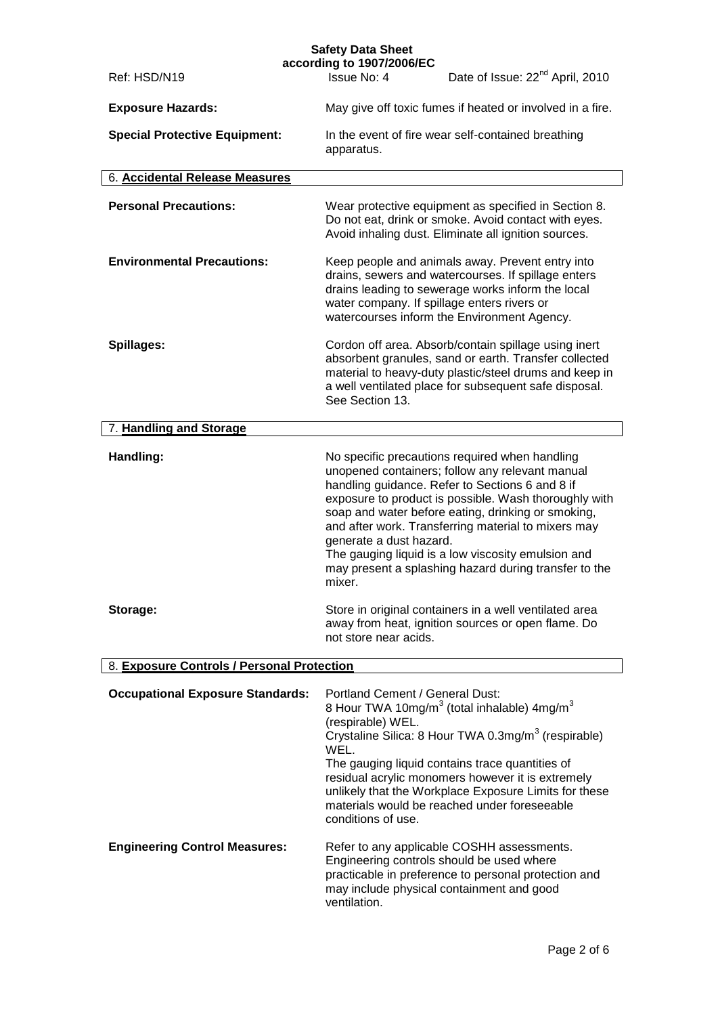|                                            | <b>Safety Data Sheet</b><br>according to 1907/2006/EC                                                                                                                                                                                                                                                                                                                                                                                                                          |
|--------------------------------------------|--------------------------------------------------------------------------------------------------------------------------------------------------------------------------------------------------------------------------------------------------------------------------------------------------------------------------------------------------------------------------------------------------------------------------------------------------------------------------------|
| Ref: HSD/N19                               | Date of Issue: 22 <sup>nd</sup> April, 2010<br>Issue No: 4                                                                                                                                                                                                                                                                                                                                                                                                                     |
| <b>Exposure Hazards:</b>                   | May give off toxic fumes if heated or involved in a fire.                                                                                                                                                                                                                                                                                                                                                                                                                      |
| <b>Special Protective Equipment:</b>       | In the event of fire wear self-contained breathing<br>apparatus.                                                                                                                                                                                                                                                                                                                                                                                                               |
| 6. Accidental Release Measures             |                                                                                                                                                                                                                                                                                                                                                                                                                                                                                |
| <b>Personal Precautions:</b>               | Wear protective equipment as specified in Section 8.<br>Do not eat, drink or smoke. Avoid contact with eyes.<br>Avoid inhaling dust. Eliminate all ignition sources.                                                                                                                                                                                                                                                                                                           |
| <b>Environmental Precautions:</b>          | Keep people and animals away. Prevent entry into<br>drains, sewers and watercourses. If spillage enters<br>drains leading to sewerage works inform the local<br>water company. If spillage enters rivers or<br>watercourses inform the Environment Agency.                                                                                                                                                                                                                     |
| Spillages:                                 | Cordon off area. Absorb/contain spillage using inert<br>absorbent granules, sand or earth. Transfer collected<br>material to heavy-duty plastic/steel drums and keep in<br>a well ventilated place for subsequent safe disposal.<br>See Section 13.                                                                                                                                                                                                                            |
| 7. Handling and Storage                    |                                                                                                                                                                                                                                                                                                                                                                                                                                                                                |
| Handling:                                  | No specific precautions required when handling<br>unopened containers; follow any relevant manual<br>handling guidance. Refer to Sections 6 and 8 if<br>exposure to product is possible. Wash thoroughly with<br>soap and water before eating, drinking or smoking,<br>and after work. Transferring material to mixers may<br>generate a dust hazard.<br>The gauging liquid is a low viscosity emulsion and<br>may present a splashing hazard during transfer to the<br>mixer. |
| Storage:                                   | Store in original containers in a well ventilated area<br>away from heat, ignition sources or open flame. Do<br>not store near acids.                                                                                                                                                                                                                                                                                                                                          |
| 8. Exposure Controls / Personal Protection |                                                                                                                                                                                                                                                                                                                                                                                                                                                                                |
| <b>Occupational Exposure Standards:</b>    | Portland Cement / General Dust:<br>8 Hour TWA 10mg/m <sup>3</sup> (total inhalable) 4mg/m <sup>3</sup><br>(respirable) WEL.<br>Crystaline Silica: 8 Hour TWA 0.3mg/m <sup>3</sup> (respirable)<br>WEL.<br>The gauging liquid contains trace quantities of<br>residual acrylic monomers however it is extremely<br>unlikely that the Workplace Exposure Limits for these<br>materials would be reached under foreseeable<br>conditions of use.                                  |
| <b>Engineering Control Measures:</b>       | Refer to any applicable COSHH assessments.<br>Engineering controls should be used where<br>practicable in preference to personal protection and<br>may include physical containment and good<br>ventilation.                                                                                                                                                                                                                                                                   |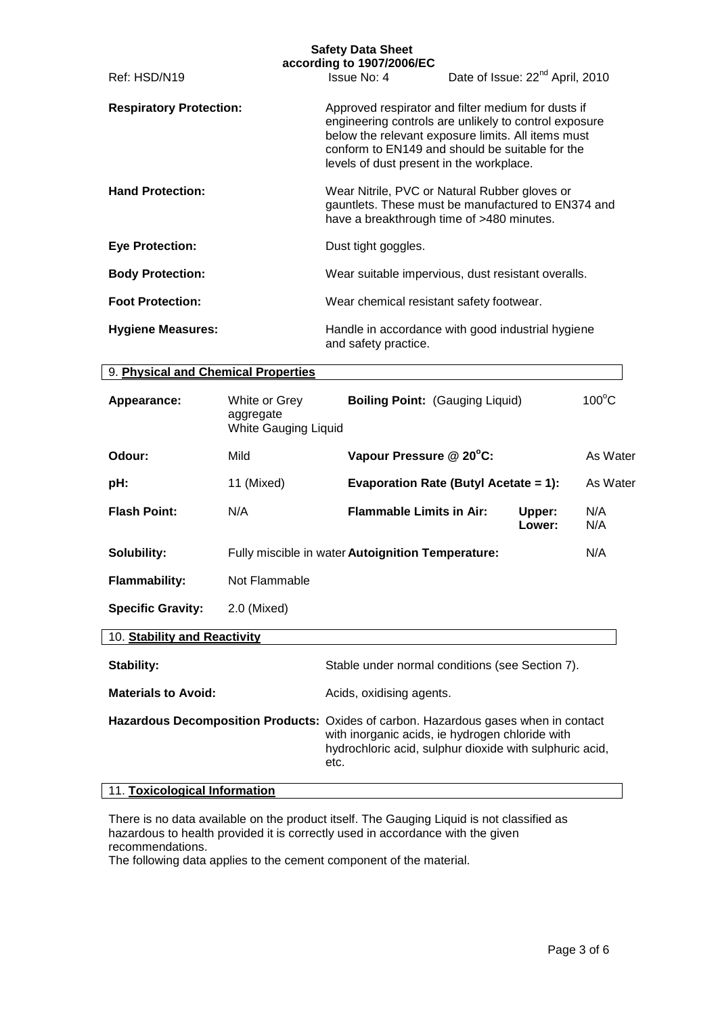|                                                                                     |                                                           | <b>Safety Data Sheet</b><br>according to 1907/2006/EC |                                                                                                                                                                                                                      |                 |
|-------------------------------------------------------------------------------------|-----------------------------------------------------------|-------------------------------------------------------|----------------------------------------------------------------------------------------------------------------------------------------------------------------------------------------------------------------------|-----------------|
| Ref: HSD/N19                                                                        |                                                           | Issue No: 4                                           | Date of Issue: 22 <sup>nd</sup> April, 2010                                                                                                                                                                          |                 |
| <b>Respiratory Protection:</b>                                                      |                                                           | levels of dust present in the workplace.              | Approved respirator and filter medium for dusts if<br>engineering controls are unlikely to control exposure<br>below the relevant exposure limits. All items must<br>conform to EN149 and should be suitable for the |                 |
| <b>Hand Protection:</b>                                                             |                                                           |                                                       | Wear Nitrile, PVC or Natural Rubber gloves or<br>gauntlets. These must be manufactured to EN374 and<br>have a breakthrough time of >480 minutes.                                                                     |                 |
| <b>Eye Protection:</b>                                                              |                                                           | Dust tight goggles.                                   |                                                                                                                                                                                                                      |                 |
| <b>Body Protection:</b>                                                             |                                                           |                                                       | Wear suitable impervious, dust resistant overalls.                                                                                                                                                                   |                 |
| <b>Foot Protection:</b>                                                             |                                                           | Wear chemical resistant safety footwear.              |                                                                                                                                                                                                                      |                 |
| <b>Hygiene Measures:</b>                                                            |                                                           | and safety practice.                                  | Handle in accordance with good industrial hygiene                                                                                                                                                                    |                 |
| 9. Physical and Chemical Properties                                                 |                                                           |                                                       |                                                                                                                                                                                                                      |                 |
| Appearance:                                                                         | White or Grey<br>aggregate<br><b>White Gauging Liquid</b> | <b>Boiling Point: (Gauging Liquid)</b>                |                                                                                                                                                                                                                      | $100^{\circ}$ C |
| Odour:                                                                              | Mild                                                      | Vapour Pressure @ 20°C:                               |                                                                                                                                                                                                                      | As Water        |
| pH:                                                                                 | 11 (Mixed)                                                |                                                       | <b>Evaporation Rate (Butyl Acetate = 1):</b>                                                                                                                                                                         | As Water        |
| <b>Flash Point:</b>                                                                 | N/A                                                       | <b>Flammable Limits in Air:</b>                       | Upper:<br>Lower:                                                                                                                                                                                                     | N/A<br>N/A      |
| Solubility:                                                                         |                                                           | Fully miscible in water Autoignition Temperature:     |                                                                                                                                                                                                                      | N/A             |
| <b>Flammability:</b>                                                                | Not Flammable                                             |                                                       |                                                                                                                                                                                                                      |                 |
| <b>Specific Gravity:</b>                                                            | 2.0 (Mixed)                                               |                                                       |                                                                                                                                                                                                                      |                 |
| 10. Stability and Reactivity                                                        |                                                           |                                                       |                                                                                                                                                                                                                      |                 |
| Stability:                                                                          |                                                           |                                                       | Stable under normal conditions (see Section 7).                                                                                                                                                                      |                 |
| <b>Materials to Avoid:</b>                                                          |                                                           | Acids, oxidising agents.                              |                                                                                                                                                                                                                      |                 |
| Hazardous Decomposition Products: Oxides of carbon. Hazardous gases when in contact |                                                           | etc.                                                  | with inorganic acids, ie hydrogen chloride with<br>hydrochloric acid, sulphur dioxide with sulphuric acid,                                                                                                           |                 |
| 11. Toxicological Information                                                       |                                                           |                                                       |                                                                                                                                                                                                                      |                 |

There is no data available on the product itself. The Gauging Liquid is not classified as hazardous to health provided it is correctly used in accordance with the given recommendations.

The following data applies to the cement component of the material.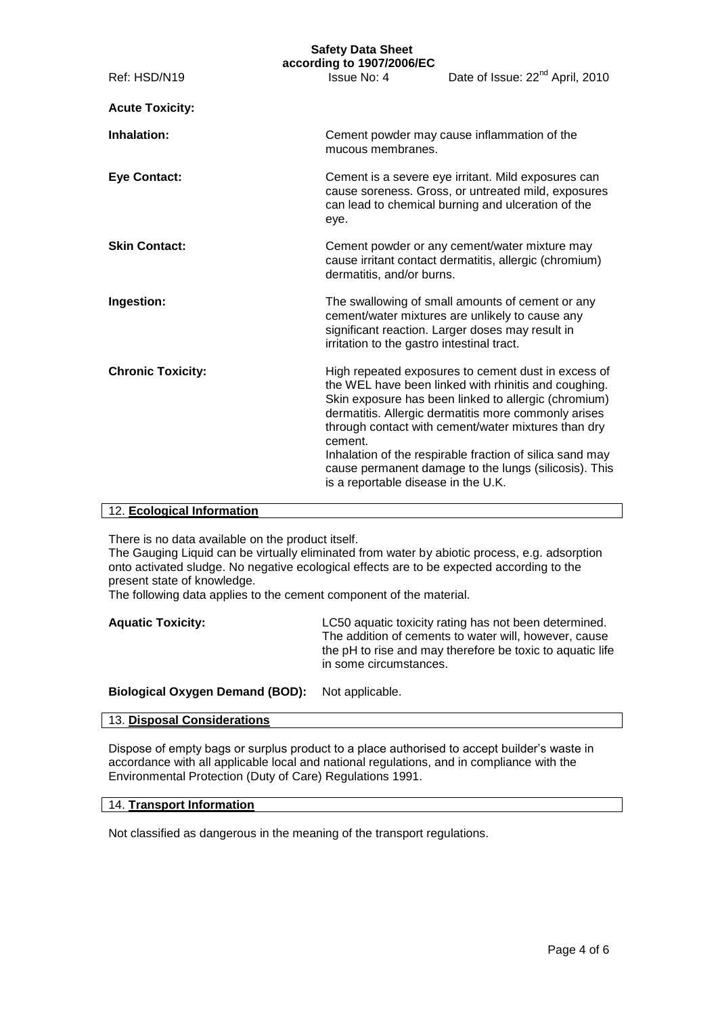# **Safety Data Sheet**

|                          | according to 1907/2006/EC                      |                                                                                                                                                                                                                                                                                                                                                                                                         |  |
|--------------------------|------------------------------------------------|---------------------------------------------------------------------------------------------------------------------------------------------------------------------------------------------------------------------------------------------------------------------------------------------------------------------------------------------------------------------------------------------------------|--|
| Ref: HSD/N19             | Issue No: 4                                    | Date of Issue: 22 <sup>nd</sup> April, 2010                                                                                                                                                                                                                                                                                                                                                             |  |
| <b>Acute Toxicity:</b>   |                                                |                                                                                                                                                                                                                                                                                                                                                                                                         |  |
| Inhalation:              |                                                | Cement powder may cause inflammation of the<br>mucous membranes.                                                                                                                                                                                                                                                                                                                                        |  |
| <b>Eye Contact:</b>      | eye.                                           | Cement is a severe eye irritant. Mild exposures can<br>cause soreness. Gross, or untreated mild, exposures<br>can lead to chemical burning and ulceration of the                                                                                                                                                                                                                                        |  |
| <b>Skin Contact:</b>     | dermatitis, and/or burns.                      | Cement powder or any cement/water mixture may<br>cause irritant contact dermatitis, allergic (chromium)                                                                                                                                                                                                                                                                                                 |  |
| Ingestion:               | irritation to the gastro intestinal tract.     | The swallowing of small amounts of cement or any<br>cement/water mixtures are unlikely to cause any<br>significant reaction. Larger doses may result in                                                                                                                                                                                                                                                 |  |
| <b>Chronic Toxicity:</b> | cement.<br>is a reportable disease in the U.K. | High repeated exposures to cement dust in excess of<br>the WEL have been linked with rhinitis and coughing.<br>Skin exposure has been linked to allergic (chromium)<br>dermatitis. Allergic dermatitis more commonly arises<br>through contact with cement/water mixtures than dry<br>Inhalation of the respirable fraction of silica sand may<br>cause permanent damage to the lungs (silicosis). This |  |

# 12. **Ecological Information**

There is no data available on the product itself.

The Gauging Liquid can be virtually eliminated from water by abiotic process, e.g. adsorption onto activated sludge. No negative ecological effects are to be expected according to the present state of knowledge.

The following data applies to the cement component of the material.

| <b>Aquatic Toxicity:</b> | LC50 aquatic toxicity rating has not been determined.<br>The addition of cements to water will, however, cause<br>the pH to rise and may therefore be toxic to aquatic life |
|--------------------------|-----------------------------------------------------------------------------------------------------------------------------------------------------------------------------|
|                          | in some circumstances.                                                                                                                                                      |
|                          |                                                                                                                                                                             |

#### **Biological Oxygen Demand (BOD):** Not applicable.

# 13. **Disposal Considerations**

Dispose of empty bags or surplus product to a place authorised to accept builder's waste in accordance with all applicable local and national regulations, and in compliance with the Environmental Protection (Duty of Care) Regulations 1991.

#### 14. **Transport Information**

Not classified as dangerous in the meaning of the transport regulations.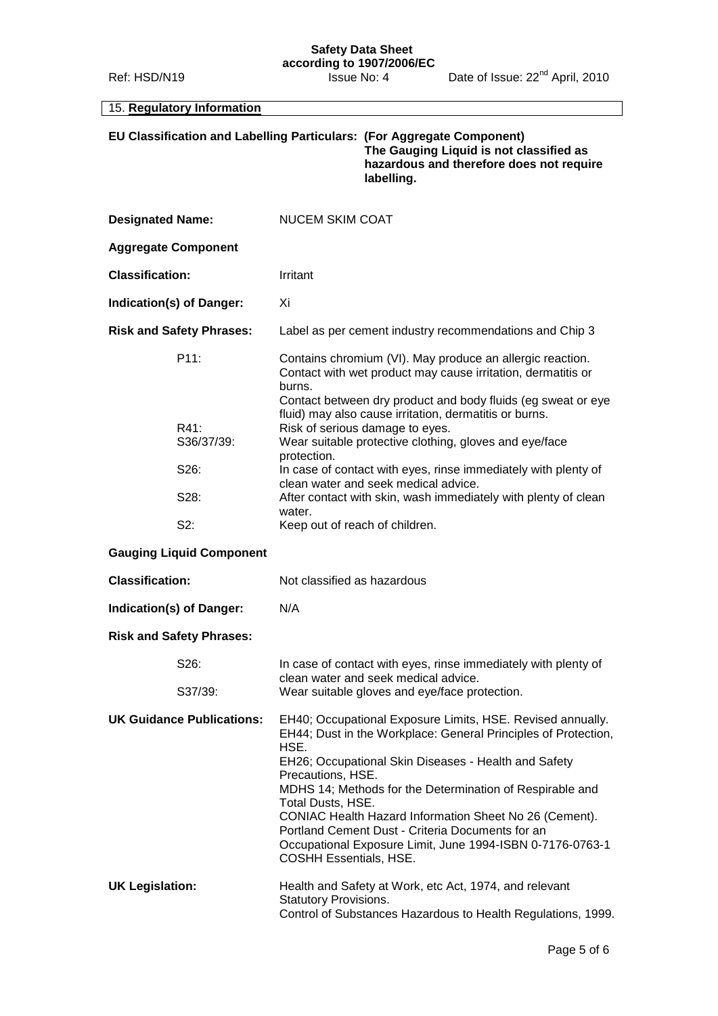#### **Safety Data Sheet according to 1907/2006/EC**

# 15. **Regulatory Information**

| EU Classification and Labelling Particulars: (For Aggregate Component) | The Gauging Liquid is not classified as<br>hazardous and therefore does not require<br>labelling. |
|------------------------------------------------------------------------|---------------------------------------------------------------------------------------------------|
|                                                                        |                                                                                                   |

| <b>Designated Name:</b>          | <b>NUCEM SKIM COAT</b>                                                                                                                                                                                                                                                                                                                                                                                                                                                                                         |
|----------------------------------|----------------------------------------------------------------------------------------------------------------------------------------------------------------------------------------------------------------------------------------------------------------------------------------------------------------------------------------------------------------------------------------------------------------------------------------------------------------------------------------------------------------|
| <b>Aggregate Component</b>       |                                                                                                                                                                                                                                                                                                                                                                                                                                                                                                                |
| <b>Classification:</b>           | Irritant                                                                                                                                                                                                                                                                                                                                                                                                                                                                                                       |
| Indication(s) of Danger:         | Xi                                                                                                                                                                                                                                                                                                                                                                                                                                                                                                             |
| <b>Risk and Safety Phrases:</b>  | Label as per cement industry recommendations and Chip 3                                                                                                                                                                                                                                                                                                                                                                                                                                                        |
| P11:                             | Contains chromium (VI). May produce an allergic reaction.<br>Contact with wet product may cause irritation, dermatitis or<br>burns.<br>Contact between dry product and body fluids (eg sweat or eye<br>fluid) may also cause irritation, dermatitis or burns.                                                                                                                                                                                                                                                  |
| R41:<br>S36/37/39:               | Risk of serious damage to eyes.<br>Wear suitable protective clothing, gloves and eye/face<br>protection.                                                                                                                                                                                                                                                                                                                                                                                                       |
| S26:                             | In case of contact with eyes, rinse immediately with plenty of<br>clean water and seek medical advice.                                                                                                                                                                                                                                                                                                                                                                                                         |
| S28:                             | After contact with skin, wash immediately with plenty of clean<br>water.                                                                                                                                                                                                                                                                                                                                                                                                                                       |
| S2:                              | Keep out of reach of children.                                                                                                                                                                                                                                                                                                                                                                                                                                                                                 |
| <b>Gauging Liquid Component</b>  |                                                                                                                                                                                                                                                                                                                                                                                                                                                                                                                |
|                                  |                                                                                                                                                                                                                                                                                                                                                                                                                                                                                                                |
| <b>Classification:</b>           | Not classified as hazardous                                                                                                                                                                                                                                                                                                                                                                                                                                                                                    |
| Indication(s) of Danger:         | N/A                                                                                                                                                                                                                                                                                                                                                                                                                                                                                                            |
| <b>Risk and Safety Phrases:</b>  |                                                                                                                                                                                                                                                                                                                                                                                                                                                                                                                |
| S26:                             | In case of contact with eyes, rinse immediately with plenty of<br>clean water and seek medical advice.                                                                                                                                                                                                                                                                                                                                                                                                         |
| S37/39:                          | Wear suitable gloves and eye/face protection.                                                                                                                                                                                                                                                                                                                                                                                                                                                                  |
| <b>UK Guidance Publications:</b> | EH40; Occupational Exposure Limits, HSE. Revised annually.<br>EH44; Dust in the Workplace: General Principles of Protection,<br>HSE.<br>EH26; Occupational Skin Diseases - Health and Safety<br>Precautions, HSE.<br>MDHS 14; Methods for the Determination of Respirable and<br>Total Dusts, HSE.<br>CONIAC Health Hazard Information Sheet No 26 (Cement).<br>Portland Cement Dust - Criteria Documents for an<br>Occupational Exposure Limit, June 1994-ISBN 0-7176-0763-1<br><b>COSHH Essentials, HSE.</b> |